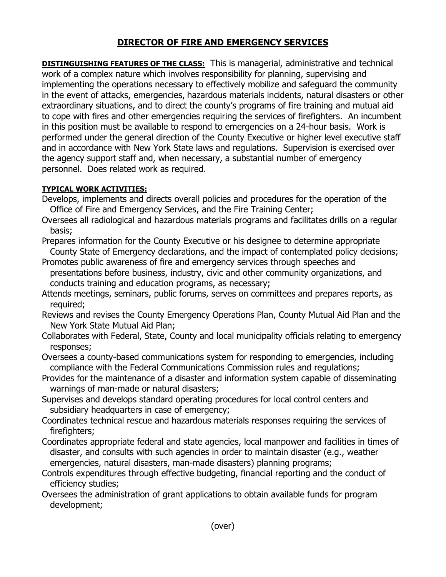## **DIRECTOR OF FIRE AND EMERGENCY SERVICES**

**DISTINGUISHING FEATURES OF THE CLASS:** This is managerial, administrative and technical work of a complex nature which involves responsibility for planning, supervising and implementing the operations necessary to effectively mobilize and safeguard the community in the event of attacks, emergencies, hazardous materials incidents, natural disasters or other extraordinary situations, and to direct the county's programs of fire training and mutual aid to cope with fires and other emergencies requiring the services of firefighters. An incumbent in this position must be available to respond to emergencies on a 24-hour basis. Work is performed under the general direction of the County Executive or higher level executive staff and in accordance with New York State laws and regulations. Supervision is exercised over the agency support staff and, when necessary, a substantial number of emergency personnel. Does related work as required.

## **TYPICAL WORK ACTIVITIES:**

- Develops, implements and directs overall policies and procedures for the operation of the Office of Fire and Emergency Services, and the Fire Training Center;
- Oversees all radiological and hazardous materials programs and facilitates drills on a regular basis;
- Prepares information for the County Executive or his designee to determine appropriate County State of Emergency declarations, and the impact of contemplated policy decisions;
- Promotes public awareness of fire and emergency services through speeches and presentations before business, industry, civic and other community organizations, and conducts training and education programs, as necessary;
- Attends meetings, seminars, public forums, serves on committees and prepares reports, as required;
- Reviews and revises the County Emergency Operations Plan, County Mutual Aid Plan and the New York State Mutual Aid Plan;
- Collaborates with Federal, State, County and local municipality officials relating to emergency responses;
- Oversees a county-based communications system for responding to emergencies, including compliance with the Federal Communications Commission rules and regulations;
- Provides for the maintenance of a disaster and information system capable of disseminating warnings of man-made or natural disasters;
- Supervises and develops standard operating procedures for local control centers and subsidiary headquarters in case of emergency;
- Coordinates technical rescue and hazardous materials responses requiring the services of firefighters;
- Coordinates appropriate federal and state agencies, local manpower and facilities in times of disaster, and consults with such agencies in order to maintain disaster (e.g., weather emergencies, natural disasters, man-made disasters) planning programs;
- Controls expenditures through effective budgeting, financial reporting and the conduct of efficiency studies;
- Oversees the administration of grant applications to obtain available funds for program development;